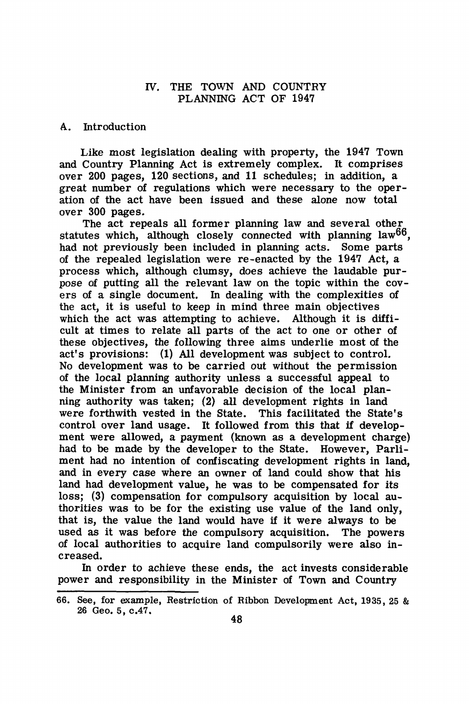# IV. THE TOWN AND COUNTRY PLANNING ACT OF 1947

#### A. Introduction

Like most legislation dealing with property, the 1947 Town and Country Planning Act is extremely complex. It comprises over 200 pages, 120 sections, and 11 schedules; in addition, a great number of regulations which were necessary to the operation of the act have been issued and these alone now total over 300 pages.

The act repeals all former planning law and several other statutes which, although closely connected with planning law<sup>66</sup>. had not previously been included in planning acts. Some parts of the repealed legislation were re-enacted by the 1947 Act, a process which, although clumsy, does achieve the laudable purpose of putting all the relevant law on the topic within the covers of a single document. In dealing with the complexities of the act, it is useful to keep in mind three main objectives which the act was attempting to achieve. Although it is difficult at times to relate all parts of the act to one or other of these objectives, the following three aims underlie most of the act's provisions: (1) All development was subject to control. No development was to be carried out without the permission of the local planning authority unless a successful appeal to the Minister from an unfavorable decision of the local planning authority was taken; (2) all development rights in land were forthwith vested in the State. This facilitated the State's control over land usage. It followed from this that if development were allowed, a payment (known as a development charge) had to be made by the developer to the State. However, Parliment had no intention of confiscating development rights in land, and in every case where an owner of land could show that his land had development value, he was to be compensated for its loss; (3) compensation for compulsory acquisition by local authorities was to be for the existing use value of the land only, that is, the value the land would have if it were always to be used as it was before the compulsory acquisition. The powers of local authorities to acquire land compulsorily were also increased.

In order to achieve these ends, the act invests considerable power and responsibility in the Minister of Town and Country

<sup>66.</sup> See, for example, Restriction of Ribbon Development Act, 1935, 25 & 26 Geo. 5, c.47.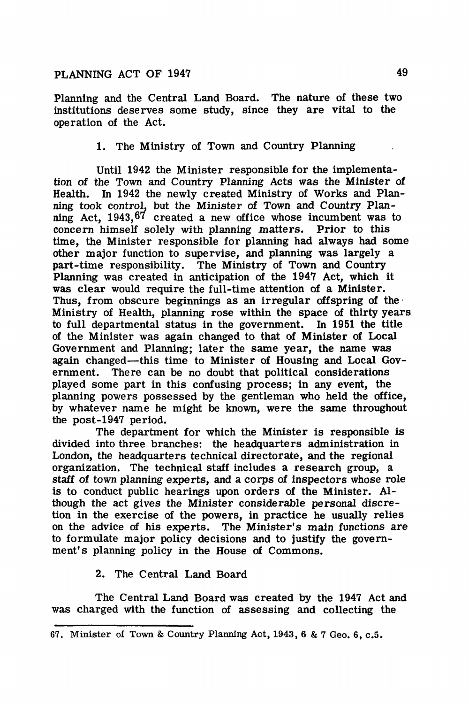# **PLANNING ACT OF 1947 49**

Planning and the Central Land Board. The nature of these two institutions deserves some study, since they are vital to the operation of the Act.

1. The Ministry of Town and Country Planning

Until 1942 the Minister responsible for the implementation of the Town and Country Planning Acts was the Minister of Health. In 1942 the newly created Ministry of Works and Planning took contro!, but the Minister of Town and Country Planning Act, 1943,  $67$  created a new office whose incumbent was to concern himself solely with planning matters. Prior to this time, the Minister responsible for planning had always had some other major function to supervise, and planning was largely a part-time responsibility. The Ministry of Town and Country Planning was created in anticipation of the 1947 Act, which it was clear would require the full-time attention of a Minister. Thus, from obscure beginnings as an irregular off spring of the Ministry of Health, planning rose within the space of thirty years to full departmental status in the government. In 1951 the title of the Minister was again changed to that of Minister of Local Government and Planning; later the same year, the name was again changed-this time to Minister of Housing and Local Government. There can be no doubt that political considerations played some part in this confusing process; in any event, the planning powers possessed by the gentleman who held the office, by whatever name he might be known, were the same throughout the post-1947 period.

The department for which the Minister is responsible is divided into three branches: the headquarters administration in London, the headquarters technical directorate, and the regional organization. The technical staff includes a research group, a staff of town planning experts, and a corps of inspectors whose role is to conduct public hearings upon orders of the Minister. Although the act gives the Minister considerable personal discretion in the exercise of the powers, in practice he usually relies on the advice of his experts. The Minister's main functions are to formulate major policy decisions and to justify the government's planning policy in the House of Commons.

#### 2. The Central Land Board

The Central Land Board was created by the 1947 Act and was charged with the function of assessing and collecting the

<sup>67.</sup> Minister of Town & Country Planning Act, 1943, 6 & 7 Geo. 6, c.5.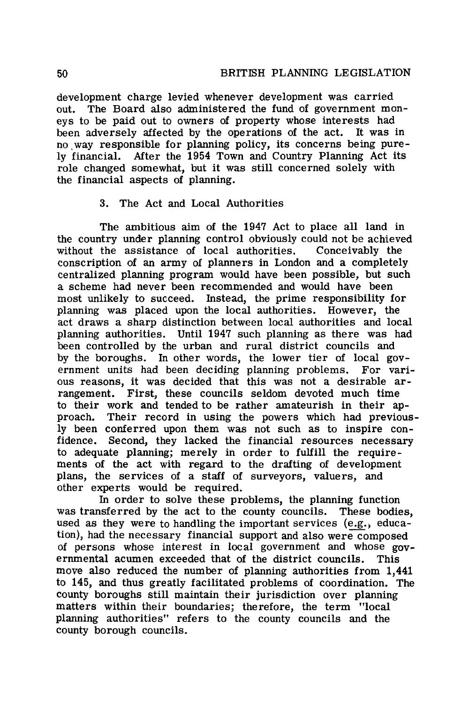development charge levied whenever development was carried out. The Board also administered the fund of government moneys to be paid out to owners of property whose interests had<br>been adversely affected by the operations of the act. It was in been adversely affected by the operations of the act. no way responsible for planning policy, its concerns being purely financial. After the 1954 Town and Country Planning Act its role changed somewhat, but it was still concerned solely with the financial aspects of planning.

# 3. The Act and Local Authorities

The ambitious aim of the 1947 Act to place all land in the country under planning control obviously could not be achieved without the assistance of local authorities. Conceivably the conscription of an army of planners in London and a completely centralized planning program would have been possible, but such a scheme had never been recommended and would have been most unlikely to succeed. Instead, the prime responsibility for planning was placed upon the local authorities. However, the act draws a sharp distinction between local authorities and local planning authorities. Until 1947 such planning as there was had been controlled by the urban and rural district councils and by the boroughs. In other words, the lower tier of local government units had been deciding planning problems. For various reasons, it was decided that this was not a desirable arrangement. First, these councils seldom devoted much time to their work and tended to be rather amateurish in their approach. Their record in using the powers which had previously been conferred upon them was not such as to inspire confidence. Second, they lacked the financial resources necessary to adequate planning; merely in order to fulfill the requirements of the act with regard to the drafting of development plans, the services of a staff of surveyors, valuers, and other experts would be required.

In order to solve these problems, the planning function was transferred by the act to the county councils. These bodies, used as they were to handling the important services (e.g.; education), had the necessary financial support and also were composed of persons whose interest in local government and whose governmental acumen exceeded that of the district councils. This move also reduced the number of planning authorities from **1,441**  to 145, and thus greatly facilitated problems of coordination. The county boroughs still maintain their jurisdiction over planning matters within their boundaries; therefore, the term "local planning authorities" refers to the county councils and the county borough councils.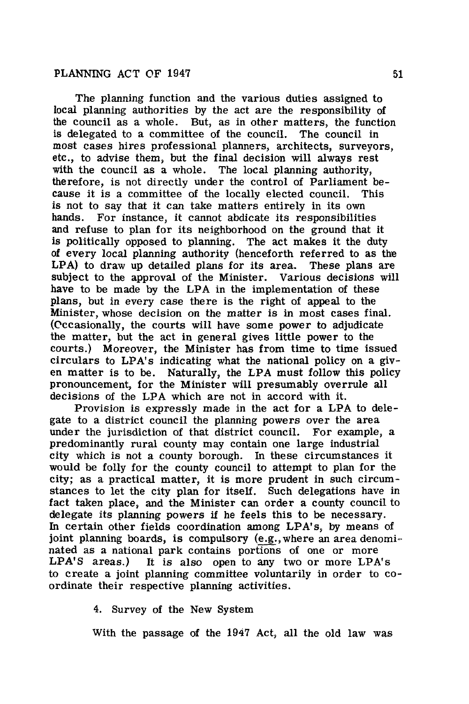The planning function and the various duties assigned to local planning authorities by the act are the responsibility of the council as a whole. But, as in other matters, the function is delegated to a committee of the council. The council in most cases hires professional planners, architects, surveyors, etc., to advise them, but the final decision will always rest with the council as a whole. The local planning authority, therefore, is not directly under the control of Parliament because it is a committee of the locally elected council. This is not to say that it can take matters entirely in its own hands. For instance, it cannot abdicate its responsibilities and refuse to plan for its neighborhood on the ground that it is politically opposed to planning. The act makes it the duty of every local planning authority (henceforth referred to as the LPA) to draw up detailed plans for its area. These plans are subject to the approval of the Minister. Various decisions will have to be made by the LPA in the implementation of these plans, but in every case there is the right of appeal to the Minister, whose decision on the matter is in most cases final. (Cccasionally, the courts will have some power to adjudicate the matter, but the act in general gives little power to the courts.) Moreover, the Minister has from time to time issued circulars to LPA's indicating what the national policy on a given matter is to be. Naturally, the LPA must follow this policy pronouncement, for the Minister will presumably overrule all decisions of the LPA which are not in accord with it.

Provision is expressly made in the act for a LPA to delegate to a district council the planning powers over the area under the jurisdiction of that district council. For example, a predominantly rural county may contain one large industrial city which is not a county borough. In these circumstances it would be folly for the county council to attempt to plan for the city; as a practical matter, it is more prudent in such circumstances to let the city plan for itself. Such delegations have in fact taken place, and the Minister can order a county council to delegate its planning powers if he feels this to be necessary. In certain other fields coordination among LPA's, by means of joint planning boards, is compulsory (e.g., where an area denominated as a national park contains portions of one or more LPA'S areas.) It is also open to any two or more LPA's to create a joint planning committee voluntarily in order to coordinate their respective planning activities.

4. Survey of the New System

With the passage of the 1947 Act, all the old law was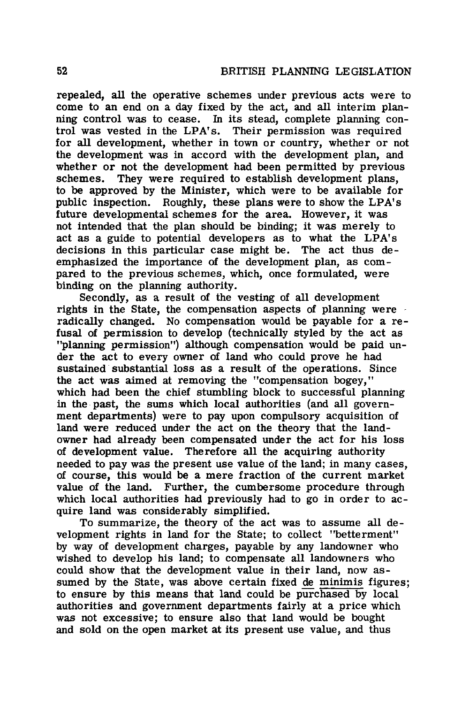repealed, all the operative schemes under previous acts were to come to an end on a day fixed by the act, and all interim planning control was to cease. In its stead, complete planning control was vested in the LPA's. Their permission was required for all development, whether in town or country, whether or not the development was in accord with the development plan, and whether or not the development had been permitted by previous schemes. They were required to establish development plans, to be approved by the Minister, which were to be available for public inspection. Roughly, these plans were to show the LPA's future developmental schemes for the area. However, it was not intended that the plan should be binding; it was merely to act as a guide to potential developers as to what the LPA's decisions in this particular case might be. emphasized the importance of the development plan, as compared to the previous schemes, which, once formulated, were binding on the planning authority.

Secondly, as a result of the vesting of all development rights in the State, the compensation aspects of planning were radically changed. No compensation would be payable for a refusal of permission to develop (technically styled by the act as "planning permission") although compensation would be paid under the act to every owner of land who could prove he had sustained substantial loss as a result of the operations. Since the act was aimed at removing the "compensation bogey," which had been the chief stumbling block to successful planning in the. past, the sums which local authorities (and all government departments) were to pay upon compulsory acquisition of land were reduced under the act on the theory that the landowner had already been compensated under the act for his loss of development value. Therefore all the acquiring authority needed to pay was the present use value of the land; in many cases, of course, this would be a mere fraction of the current market value of the land. Further, the cumbersome procedure through which local authorities had previously had to go in order to acquire land was considerably simplified.

To summarize, the theory of the act was to assume all development rights in land for the State; to collect "betterment" by way of development charges, payable by any landowner who wished to develop his land; to compensate all landowners who could show that the development value in their land, now assumed by the State, was above certain fixed de minimis figures; to ensure by this means that land could be purchased by local authorities and government departments fairly at a price which was not excessive; to ensure also that land would be bought and sold on the open market at its present use value, and thus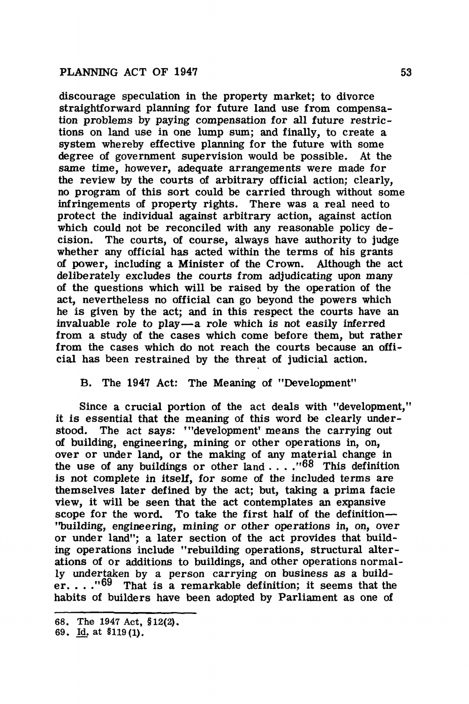discourage speculation in the property market; to divorce straightforward planning for future land use from compensation problems by paying compensation for all future restrictions on land use in one lump sum; and finally, to create a system whereby effective planning for the future with some degree of government supervision would be possible. At the same time, however, adequate arrangements were made for the review by the courts of arbitrary official action; clearly, no program of this sort could be carried through without some infringements of property rights. There was a real need to protect the individual against arbitrary action, against action which could not be reconciled with any reasonable policy decision. The courts, of course, always have authority to judge whether any official has acted within the terms of his grants of power, including a Minister of the Crown. Although the act deliberately excludes the courts from adjudicating upon many of the questions which will be raised by the operation of the act, nevertheless no official can go beyond the powers which he is given by the act; and in this respect the courts have an invaluable role to play-a role which is not easily inferred from a study of the cases which come before them, but rather from the cases which do not reach the courts because an offi• cial has been restrained by the threat of judicial action.

B. The 1947 Act: The **Meaning** of "Development"

Since a crucial portion of the act deals with "development," it is essential that the meaning of this word be clearly understood. The act says: "'development' means the carrying out of building, engineering, mining or other operations in, on, over or under land, or the making of any material change in the use of any buildings or other land  $\ldots$   $\cdot$   $\cdot$  <sup>68</sup> This definition is not complete in itself, for some of the included terms are themselves later defined by the act; but, taking a prima facie view, it will be seen that the act contemplates an expansive scope for the word. To take the first half of the definition-''building, engineering, mining or other operations in, on, over or under land"; a later section of the act provides that building operations include "rebuilding operations, structural alterations of or additions to buildings, and other operations normally undertaken by a person carrying on business **as a** builder.  $\ldots$ <sup>169</sup> That is a remarkable definition; it seems that the habits of builders have been adopted by Parliament as one of

<sup>68.</sup> The 1947 Act, §12(2).

<sup>69.</sup> Id. at \$119(1).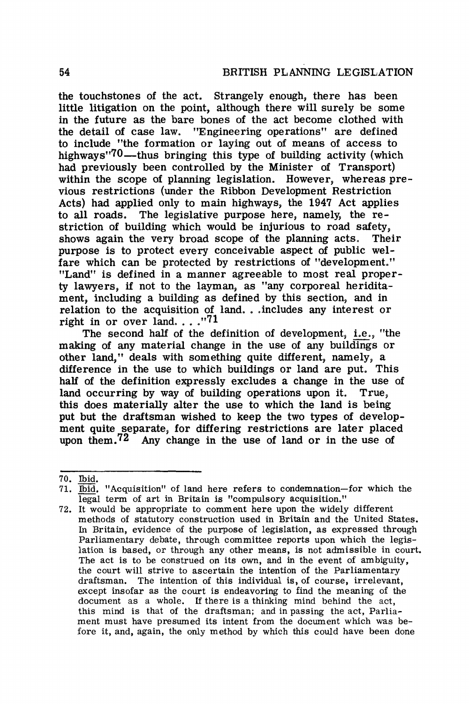the touchstones of the act. Strangely enough, there has been little litigation on the point, although there will surely be some in the future as the bare bones of the act become clothed with the detail of case law. "Engineering operations" are defined to include "the formation or laying out of means of access to highways<sup> $170$ </sup>—thus bringing this type of building activity (which had previously been controlled by the Minister of Transport) within the scope of planning legislation. However, whereas previous restrictions (under the Ribbon Development Restriction Acts) had applied only to main highways, the 1947 Act applies to all roads. The legislative purpose here, namely, the restriction of building which would be injurious to road safety, shows again the very broad scope of the planning acts. Their purpose is to protect every conceivable aspect of public welfare which can be protected by restrictions of "development." "Land" is defined in a manner agreeable to most real property lawyers, if not to the layman, as "any corporeal heriditament, including a building as defined by this section, and in relation to the acquisition of land. . . includes any interest or right in or over land... $^{171}$ 

The second half of the definition of development, i.e., "the making of any material change in the use of any buildings or other land," deals with something quite different, namely, a difference in the use to which buildings or land are put. This half of the definition expressly excludes a change in the use of land occurring by way of building operations upon it. True, this does materially alter the use to which the land is being put but the draftsman wished to keep the two types of development quite separate, for differing restrictions are later placed upon them.<sup>72</sup> Any change in the use of land or in the use of

<sup>70.</sup> Ibid.

<sup>71.</sup> Ibid, "Acquisition" of land here refers to condemnation-for which the legal term of art in Britain is "compulsory acquisition."

<sup>72.</sup> It would be appropriate to comment here upon the widely different methods of statutory construction used in Britain and the United States. In Britain, evidence of the purpose of legislation, as expressed through Parliamentary debate, through committee reports upon which the legislation is based, or through any other means, is not admissible in court. The act is to be construed on its own, and in the event of ambiguity, the court will strive to ascertain the intention of the Parliamentary draftsman. The intention of this individual is, of course, irrelevant, except insofar as the court is endeavoring to find the meaning of the document as a whole. If there is a thinking mind behind the act, this mind is that of the draftsman; and in passing the act, Parliament must have presumed its intent from the document which was before it, and, again, the only method by which this could have been done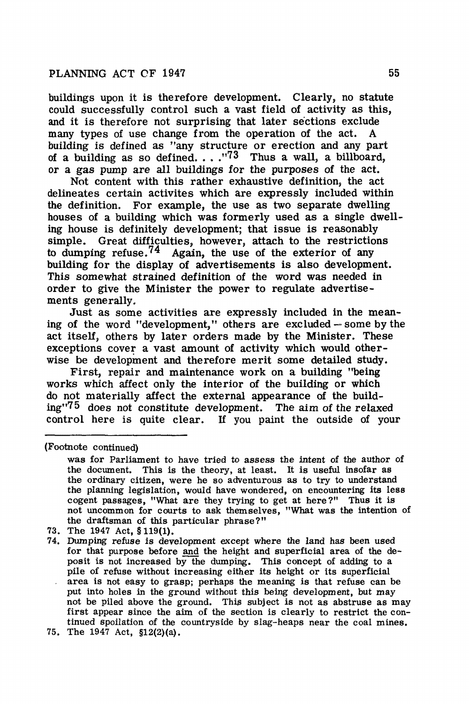buildings upon it is therefore development. Clearly, no statute could successfully control such a vast field of activity as this, and it is therefore not surprising that later sections exclude many types of use change from the operation of the act. A building is defined as "any structure or erection and any part of a building as so defined.  $\ldots$ .<sup>173</sup> Thus a wall, a billboard, or a gas pump are all buildings for the purposes of the act.

Not content with this rather exhaustive definition, the act delineates certain activites which are expressly included within the definition. For example, the use as two separate dwelling houses of a building which was formerly used as a single dwelling house is definitely development; that issue is reasonably simple. Great difficulties, however, attach to the restrictions to dumping refuse.<sup>74</sup> Again, the use of the exterior of any building for the display of advertisements is also development. This somewhat strained definition of the word was needed in order to give the Minister the power to regulate advertisements generally.

Just as some activities are expressly included in the meaning of the word "development," others are excluded - some by the act itself, others by later orders made by the Minister. These exceptions cover a vast amount of activity which would otherwise be development and therefore merit some detailed study.

First, repair and maintenance work on a building "being works which affect only the interior of the building or which do not materially affect the external appearance of the build $ing''75$  does not constitute development. The aim of the relaxed control here is quite clear. If you paint the outside of your

(Footnote continued)

73. The 1947 Act, § 119(1).

was for Parliament to have tried to assess the intent of the author of the document. This is the theory, at least. It is useful insofar as the ordinary citizen, were he so adventurous as to try to understand the planning legislation, would have wondered, on encountering its less cogent passages, "What are they trying to get at here?" Thus it is not uncommon for courts to ask themselves, "What was the intention of the draftsman of this particular phrase?"

<sup>74.</sup> Dumping refuse is development except where the land has been used for that purpose before and the height and superficial area of the deposit is not increased by the dumping. This concept of adding to a pile of refuse without increasing either its height or its superficial area is not easy to grasp; perhaps the meaning is that refuse can be put into holes in the ground without this being development, but may not be piled above the ground. This subject is not as abstruse as may first appear since the aim of the section is clearly to restrict the continued spoilation of the countryside by slag-heaps near the coal mines.

<sup>75.</sup> The 1947 Act, §l2(2)(a).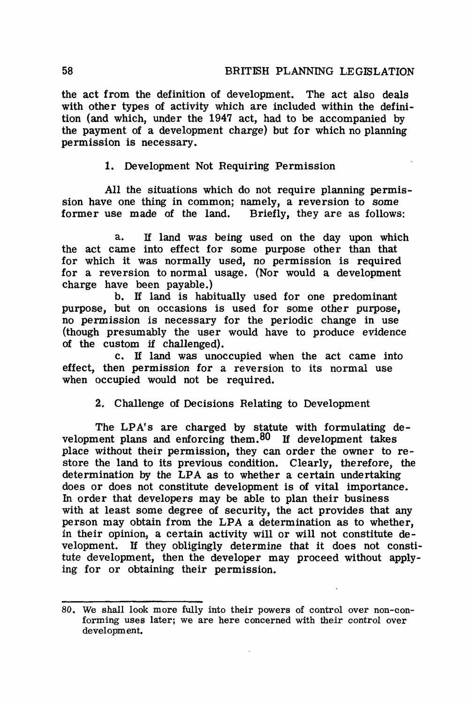the act from the definition of development. The act also deals with other types of activity which are included within the definition (and which, under the 1947 act, had to be accompanied by the payment of a development charge) but for which no planning permission is necessary.

1. Development Not Requiring Permission

All the situations which do not require planning permission have one thing in common; namely, a reversion to some former use made of the land. Briefly, they are as follows:

a. If land was being used on the day upon which the act came into effect for some purpose other than that for which it was normally used, no permission is required for a reversion to normal usage. (Nor would a development charge have been payable.)

b. If land is habitually used for one predominant purpose, but on occasions is used for some other purpose, no permission is necessary for the periodic change in use (though presumably the user would have to produce evidence of the custom if challenged).

c. If land was unoccupied when the act came into effect, then permission for a reversion to its normal use when occupied would not be required.

2. Challenge of Decisions Relating to Development

The LPA's are charged by statute with formulating development plans and enforcing them. $80$  If development takes place without their permission, they can order the owner to restore the land to its previous condition. Clearly, therefore, the determination by the LPA as to whether a certain undertaking does or does not constitute development is of vital importance. In order that developers may be able to plan their business with at least some degree of security, the act provides that any person may obtain from the LPA a determination as to whether, in their opinion, a certain activity will or will not constitute development. If they obligingly determine that it does not constitute development, then the developer may proceed without applying for or obtaining their permission.

<sup>80.</sup> We shall look more fully into their powers of control over non-conforming uses later; we are here concerned with their control over development.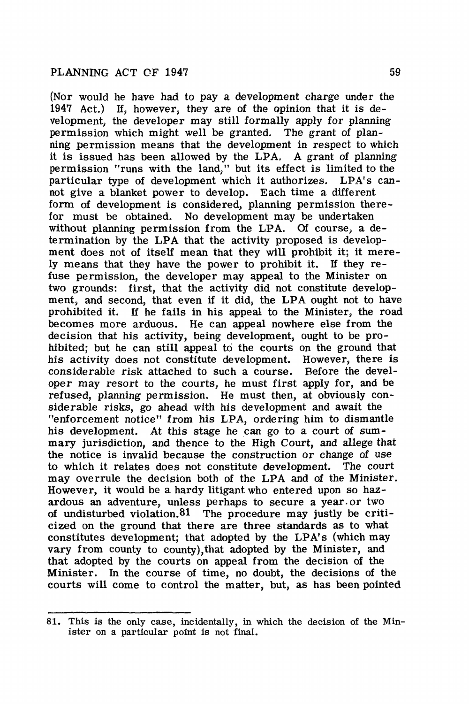(Nor would he have had to pay a development charge under the 1947 Act.) If, however, they are of the opinion that it is development, the developer may still formally apply for planning permission which might well be granted. The grant of planning permission means that the development in respect to which it is issued has been allowed by the LPA. A grant of planning permission "runs with the land," but its effect is limited to the particular type of development which it authorizes. LPA's cannot give a blanket power to develop. Each time a different form of development is considered, planning permission therefor must be obtained. No development may be undertaken without planning permission from the LPA. Of course, a determination by the LPA that the activity proposed is development does not of itself mean that they will prohibit it; it merely means that they have the power to prohibit it. If they refuse permission, the developer may appeal to the Minister on two grounds: first, that the activity did not constitute development, and second, that even if it did, the LPA ought not to have prohibited it. If he fails in his appeal to the Minister, the road becomes more arduous. He can appeal nowhere else from the decision that his activity, being development, ought to be prohibited; but he can still appeal to the courts on the ground that his activity does not constitute development. However, there is considerable risk attached to such a course. Before the developer may resort to the courts, he must first apply for, and be refused, planning permission. He must then, at obviously considerable risks, go ahead with his development and await the "enforcement notice" from his LPA, ordering him to dismantle his development. At this stage he can go to a court of summary jurisdiction, and thence to the High Court, and allege that the notice is invalid because the construction or change of use to which it relates does not constitute development. The court may overrule the decision both of the LPA and of the Minister. However, it would be a hardy litigant who entered upon so hazardous an adventure, unless perhaps to secure a year.or two of undisturbed violation.Bl The procedure may justly be criticized on the ground that there are three standards as to what constitutes development; that adopted by the LPA's (which may vary from county to county),that adopted by the Minister, and that adopted by the courts on appeal from the decision of the Minister. In the course of time, no doubt, the decisions of the courts will come to control the matter, but, as has been pointed

<sup>81.</sup> This is the only case, incidentally, in which the decision of the Minister on a particular point is not final.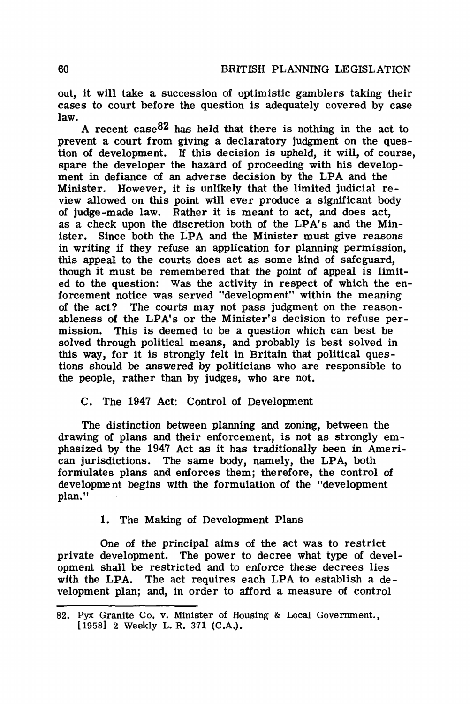out, it will take a succession of optimistic gamblers taking their cases to court before the question is adequately covered by case law.

A recent case  $82$  has held that there is nothing in the act to prevent a court from giving a declaratory judgment on the question of development. If this decision is upheld, it will, of course, spare the developer the hazard of proceeding with his development in defiance of an adverse decision by the LPA and the Minister. However, it is unlikely that the limited judicial review allowed on this point will ever produce a significant body of judge-made law. Rather it is meant to act, and does act, as a check upon the discretion both of the LPA's and the Minister. Since both the LPA and the Minister must give reasons in writing if they refuse an application for planning permission, this appeal to the courts does act as some kind of safeguard, though it must be remembered that the point of appeal is limited to the question: Was the activity in respect of which the enforcement notice was served "development" within the meaning The courts may not pass judgment on the reasonableness of the LPA's or the Minister's decision to refuse permission. This is deemed to be a question which can best be solved through political means, and probably is best solved in this way, for it is strongly felt in Britain that political questions should be answered by politicians who are responsible to the people, rather than by judges, who are not.

# C. The 1947 Act: Control of Development

The distinction between planning and zoning, between the drawing of plans and their enforcement, is not as strongly emphasized by the 1947 Act as it has traditionally been in American jurisdictions. The same body, namely, the LPA, both formulates plans and enforces them; therefore, the control of development begins with the formulation of the "development plan."

# 1. The Making of Development Plans

One of the principal aims of the act was to restrict private development. The power to decree what type of development shall be restricted and to enforce these decrees lies with the **LPA.** The act requires each LPA to establish a development plan; and, in order to afford a measure of control

<sup>82.</sup> Pyx Granite Co. v. Minister of Housing & Local Government., [1958] 2 Weekly L. R. 371 (C.A.).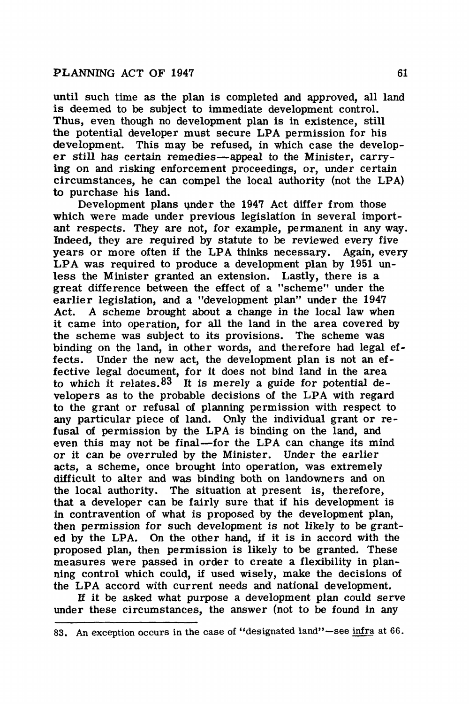until such time as the plan is completed and approved, all land is deemed to be subject to immediate development control. Thus, even though no development plan is in existence, still the potential developer must secure LPA permission for his development. This may be refused, in which case the developer still has certain remedies-appeal to the Minister, carrying on and risking enforcement proceedings, or, under certain circumstances, he can compel the local authority (not the LP A) to purchase his land.

Development plans under the 1947 Act differ from those which were made under previous legislation in several important respects. They are not, for example, permanent in any way. Indeed, they are required by statute to be reviewed every five years or more often if the LPA thinks necessary. Again, every LPA was required to produce a development plan by 1951 unless the Minister granted an extension. Lastly, there is a great difference between the effect of a "scheme" under the earlier legislation, and a "development plan" under the 1947 Act. A scheme brought about a change in the local law when it came into operation, for all the land in the area covered by the scheme was subject to its provisions. The scheme was binding on the land, in other words, and therefore had legal effects. Under the new act, the development plan is not an effective legal document, for it does not bind land in the area to which it relates.  $83$  It is merely a guide for potential developers as to the probable decisions of the LPA with regard to the grant or refusal of planning permission with respect to any particular piece of land. Only the individual grant or refusal of permission by the LPA is binding on the land, and even this may not be final—for the LPA can change its mind or it can be overruled by the Minister. Under the earlier acts, a scheme, once brought into operation, was extremely difficult to alter and was binding both on landowners and on the local authority. The situation at present is, therefore, that a developer can be fairly sure that if his development is in contravention of what is proposed by the development plan, then permission for such development is not likely to be granted by the LPA. On the other hand, if it is in accord with the proposed plan, then permission is likely to be granted. These measures were passed in order to create a flexibility in planning control which could, if used wisely, make the decisions of the LPA accord with current needs and national development.

Jf it be asked what purpose a development plan could serve under these circumstances, the answer (not to be found in any

<sup>83.</sup> An exception occurs in the case of "designated land"-see infra at 66.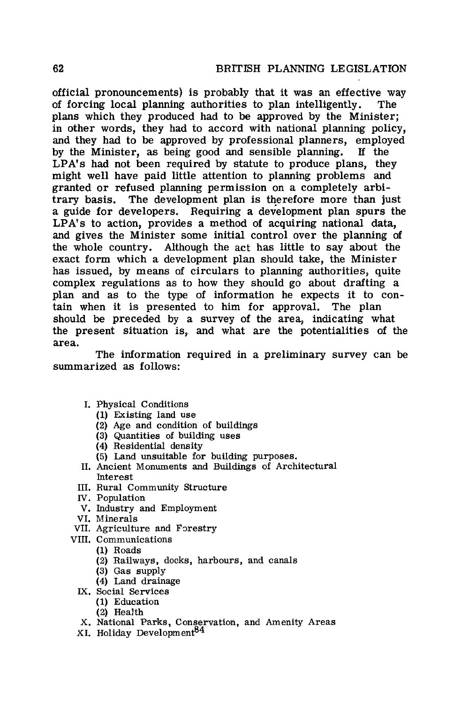official pronouncements) is probably that it was an effective way of forcing local planning authorities to plan intelligently. The plans which they produced had to be approved by the Minister; in other words, they had to accord with national planning policy, and they had to be approved by professional planners, employed by the Minister, as being good and sensible planning. If the LPA's had not been required by statute to produce plans, they might well have paid little attention to planning problems and granted or refused planning permission on a completely arbitrary basis. The development plan is therefore more than just a guide for developers. Requiring a development plan spurs the LPA's to action, provides a method of acquiring national data, and gives the Minister some initial control over the planning of the whole country. Although the act has little to say about the exact form which a development plan should take, the Minister has issued, by means of circulars to planning authorities, quite complex regulations as to how they should go about drafting a plan and as to the type of information he expects it to contain when it is presented to him for approval. The plan should be preceded by a survey of the area, indicating what the present situation is, and what are the potentialities of the area.

The information required in a preliminary survey can be summarized as follows:

- I. Physical Conditions
	- (1) Existing land use
	- (2) Age and condition of buildings
	- (3) Quantities of building uses
	- (4) Residential density
	- (5) Land unsuitable for building purposes.
- II. Ancient Monuments and Buildings of Architectural Interest
- III. Rural Community Structure
- N. Population
- V. Industry and Employment
- VI. Minerals
- VII. Agriculture and Forestry
- VIII. Communications
	- (1) Roads
	- (2) Railways, docks, harbours, and canals
	- (3) Gas supply
	- ( 4) Land drainage
	- IX. Social Services
		- (1) Education
		- (2) Health
	- X. National Parks, Conservation, and Amenity Areas
	- XI. Holiday Development<sup>84</sup>